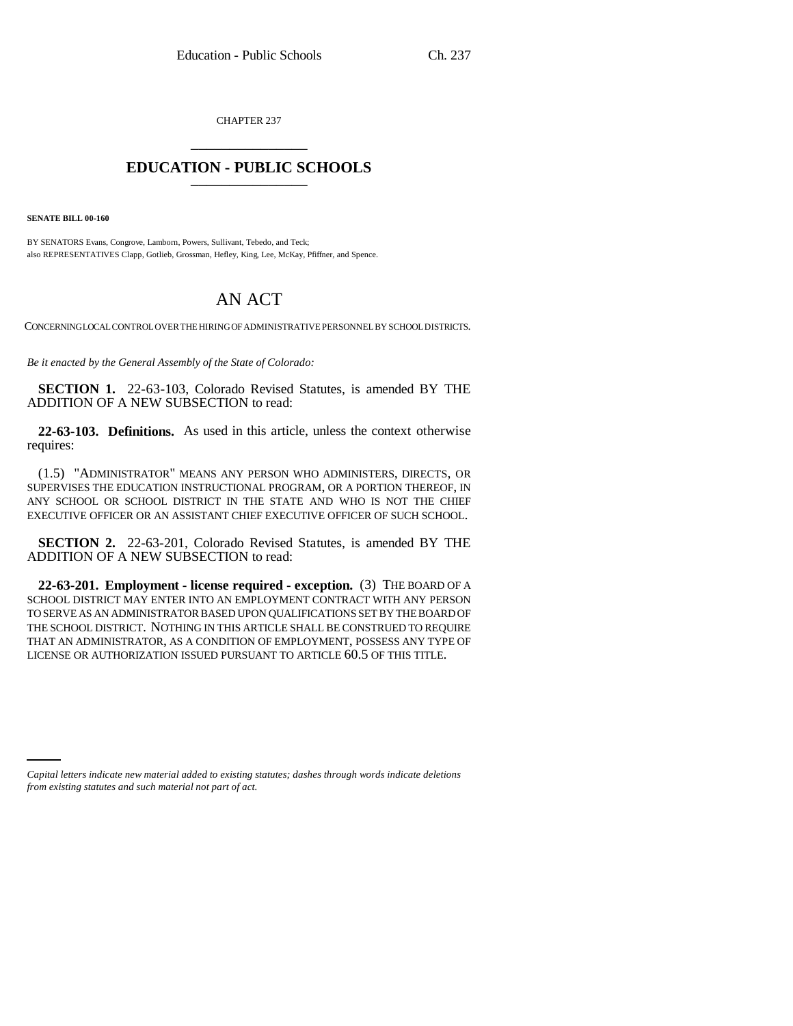CHAPTER 237 \_\_\_\_\_\_\_\_\_\_\_\_\_\_\_

## **EDUCATION - PUBLIC SCHOOLS** \_\_\_\_\_\_\_\_\_\_\_\_\_\_\_

**SENATE BILL 00-160** 

BY SENATORS Evans, Congrove, Lamborn, Powers, Sullivant, Tebedo, and Teck; also REPRESENTATIVES Clapp, Gotlieb, Grossman, Hefley, King, Lee, McKay, Pfiffner, and Spence.

## AN ACT

CONCERNING LOCAL CONTROL OVER THE HIRING OF ADMINISTRATIVE PERSONNEL BY SCHOOL DISTRICTS.

*Be it enacted by the General Assembly of the State of Colorado:*

**SECTION 1.** 22-63-103, Colorado Revised Statutes, is amended BY THE ADDITION OF A NEW SUBSECTION to read:

**22-63-103. Definitions.** As used in this article, unless the context otherwise requires:

(1.5) "ADMINISTRATOR" MEANS ANY PERSON WHO ADMINISTERS, DIRECTS, OR SUPERVISES THE EDUCATION INSTRUCTIONAL PROGRAM, OR A PORTION THEREOF, IN ANY SCHOOL OR SCHOOL DISTRICT IN THE STATE AND WHO IS NOT THE CHIEF EXECUTIVE OFFICER OR AN ASSISTANT CHIEF EXECUTIVE OFFICER OF SUCH SCHOOL.

**SECTION 2.** 22-63-201, Colorado Revised Statutes, is amended BY THE ADDITION OF A NEW SUBSECTION to read:

**22-63-201. Employment - license required - exception.** (3) THE BOARD OF A SCHOOL DISTRICT MAY ENTER INTO AN EMPLOYMENT CONTRACT WITH ANY PERSON TO SERVE AS AN ADMINISTRATOR BASED UPON QUALIFICATIONS SET BY THE BOARD OF THE SCHOOL DISTRICT. NOTHING IN THIS ARTICLE SHALL BE CONSTRUED TO REQUIRE THAT AN ADMINISTRATOR, AS A CONDITION OF EMPLOYMENT, POSSESS ANY TYPE OF LICENSE OR AUTHORIZATION ISSUED PURSUANT TO ARTICLE 60.5 OF THIS TITLE.

*Capital letters indicate new material added to existing statutes; dashes through words indicate deletions from existing statutes and such material not part of act.*